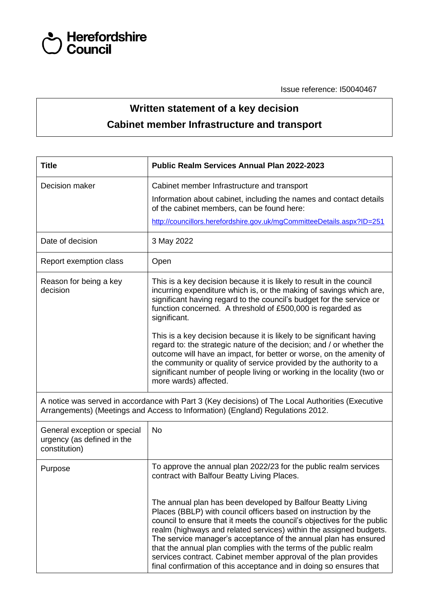

Issue reference: I50040467

## **Written statement of a key decision Cabinet member Infrastructure and transport**

| <b>Title</b>                                                                                                                                                                        | <b>Public Realm Services Annual Plan 2022-2023</b>                                                                                                                                                                                                                                                                                                                                                                                                                                                                                                              |  |  |  |
|-------------------------------------------------------------------------------------------------------------------------------------------------------------------------------------|-----------------------------------------------------------------------------------------------------------------------------------------------------------------------------------------------------------------------------------------------------------------------------------------------------------------------------------------------------------------------------------------------------------------------------------------------------------------------------------------------------------------------------------------------------------------|--|--|--|
| Decision maker                                                                                                                                                                      | Cabinet member Infrastructure and transport<br>Information about cabinet, including the names and contact details<br>of the cabinet members, can be found here:<br>http://councillors.herefordshire.gov.uk/mgCommitteeDetails.aspx?ID=251                                                                                                                                                                                                                                                                                                                       |  |  |  |
| Date of decision                                                                                                                                                                    | 3 May 2022                                                                                                                                                                                                                                                                                                                                                                                                                                                                                                                                                      |  |  |  |
| Report exemption class                                                                                                                                                              | Open                                                                                                                                                                                                                                                                                                                                                                                                                                                                                                                                                            |  |  |  |
| Reason for being a key<br>decision                                                                                                                                                  | This is a key decision because it is likely to result in the council<br>incurring expenditure which is, or the making of savings which are,<br>significant having regard to the council's budget for the service or<br>function concerned. A threshold of £500,000 is regarded as<br>significant.                                                                                                                                                                                                                                                               |  |  |  |
|                                                                                                                                                                                     | This is a key decision because it is likely to be significant having<br>regard to: the strategic nature of the decision; and / or whether the<br>outcome will have an impact, for better or worse, on the amenity of<br>the community or quality of service provided by the authority to a<br>significant number of people living or working in the locality (two or<br>more wards) affected.                                                                                                                                                                   |  |  |  |
| A notice was served in accordance with Part 3 (Key decisions) of The Local Authorities (Executive<br>Arrangements) (Meetings and Access to Information) (England) Regulations 2012. |                                                                                                                                                                                                                                                                                                                                                                                                                                                                                                                                                                 |  |  |  |
| General exception or special<br>urgency (as defined in the<br>constitution)                                                                                                         | <b>No</b>                                                                                                                                                                                                                                                                                                                                                                                                                                                                                                                                                       |  |  |  |
| Purpose                                                                                                                                                                             | To approve the annual plan 2022/23 for the public realm services<br>contract with Balfour Beatty Living Places.                                                                                                                                                                                                                                                                                                                                                                                                                                                 |  |  |  |
|                                                                                                                                                                                     | The annual plan has been developed by Balfour Beatty Living<br>Places (BBLP) with council officers based on instruction by the<br>council to ensure that it meets the council's objectives for the public<br>realm (highways and related services) within the assigned budgets.<br>The service manager's acceptance of the annual plan has ensured<br>that the annual plan complies with the terms of the public realm<br>services contract. Cabinet member approval of the plan provides<br>final confirmation of this acceptance and in doing so ensures that |  |  |  |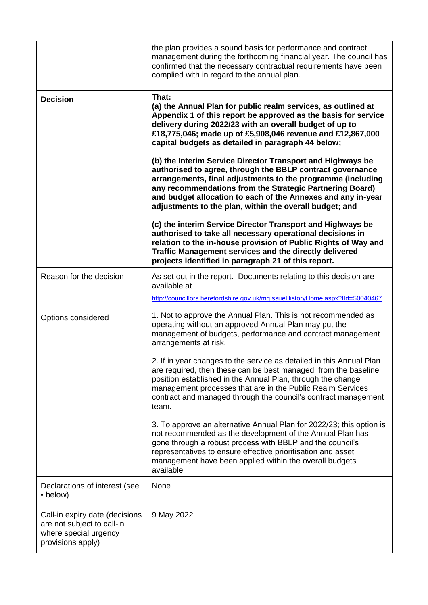|                                                                                                            | the plan provides a sound basis for performance and contract<br>management during the forthcoming financial year. The council has<br>confirmed that the necessary contractual requirements have been<br>complied with in regard to the annual plan.                                                                                                                                                                                                                                                                                                                                                                                                                                                                                                                                                                                                                                                                                                                                                                    |  |  |
|------------------------------------------------------------------------------------------------------------|------------------------------------------------------------------------------------------------------------------------------------------------------------------------------------------------------------------------------------------------------------------------------------------------------------------------------------------------------------------------------------------------------------------------------------------------------------------------------------------------------------------------------------------------------------------------------------------------------------------------------------------------------------------------------------------------------------------------------------------------------------------------------------------------------------------------------------------------------------------------------------------------------------------------------------------------------------------------------------------------------------------------|--|--|
| <b>Decision</b>                                                                                            | That:<br>(a) the Annual Plan for public realm services, as outlined at<br>Appendix 1 of this report be approved as the basis for service<br>delivery during 2022/23 with an overall budget of up to<br>£18,775,046; made up of £5,908,046 revenue and £12,867,000<br>capital budgets as detailed in paragraph 44 below;<br>(b) the Interim Service Director Transport and Highways be<br>authorised to agree, through the BBLP contract governance<br>arrangements, final adjustments to the programme (including<br>any recommendations from the Strategic Partnering Board)<br>and budget allocation to each of the Annexes and any in-year<br>adjustments to the plan, within the overall budget; and<br>(c) the interim Service Director Transport and Highways be<br>authorised to take all necessary operational decisions in<br>relation to the in-house provision of Public Rights of Way and<br>Traffic Management services and the directly delivered<br>projects identified in paragraph 21 of this report. |  |  |
| Reason for the decision                                                                                    | As set out in the report. Documents relating to this decision are<br>available at<br>http://councillors.herefordshire.gov.uk/mglssueHistoryHome.aspx?IId=50040467                                                                                                                                                                                                                                                                                                                                                                                                                                                                                                                                                                                                                                                                                                                                                                                                                                                      |  |  |
| Options considered                                                                                         | 1. Not to approve the Annual Plan. This is not recommended as<br>operating without an approved Annual Plan may put the<br>management of budgets, performance and contract management<br>arrangements at risk.<br>2. If in year changes to the service as detailed in this Annual Plan                                                                                                                                                                                                                                                                                                                                                                                                                                                                                                                                                                                                                                                                                                                                  |  |  |
|                                                                                                            | are required, then these can be best managed, from the baseline<br>position established in the Annual Plan, through the change<br>management processes that are in the Public Realm Services<br>contract and managed through the council's contract management<br>team.                                                                                                                                                                                                                                                                                                                                                                                                                                                                                                                                                                                                                                                                                                                                                |  |  |
|                                                                                                            | 3. To approve an alternative Annual Plan for 2022/23; this option is<br>not recommended as the development of the Annual Plan has<br>gone through a robust process with BBLP and the council's<br>representatives to ensure effective prioritisation and asset<br>management have been applied within the overall budgets<br>available                                                                                                                                                                                                                                                                                                                                                                                                                                                                                                                                                                                                                                                                                 |  |  |
| Declarations of interest (see<br>• below)                                                                  | None                                                                                                                                                                                                                                                                                                                                                                                                                                                                                                                                                                                                                                                                                                                                                                                                                                                                                                                                                                                                                   |  |  |
| Call-in expiry date (decisions<br>are not subject to call-in<br>where special urgency<br>provisions apply) | 9 May 2022                                                                                                                                                                                                                                                                                                                                                                                                                                                                                                                                                                                                                                                                                                                                                                                                                                                                                                                                                                                                             |  |  |